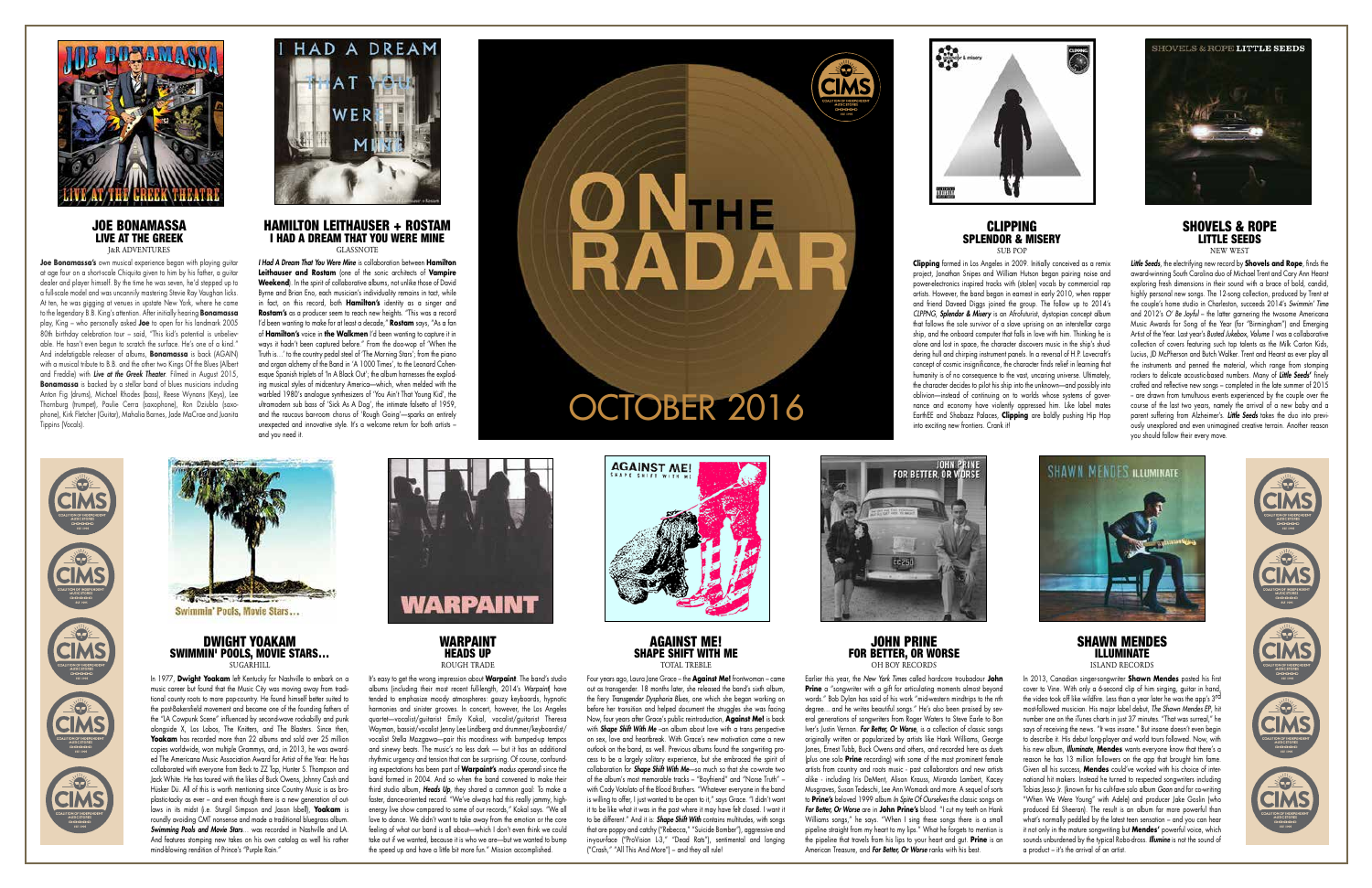## CLIPPING SPLENDOR & MISERY



**Clipping** formed in Los Angeles in 2009. Initially conceived as a remix project, Jonathan Snipes and William Hutson began pairing noise and power-electronics inspired tracks with (stolen) vocals by commercial rap artists. However, the band began in earnest in early 2010, when rapper and friend Daveed Diggs joined the group. The follow up to 2014's *CLPPNG*, *Splendor & Misery* is an Afrofuturist, dystopian concept album that follows the sole survivor of a slave uprising on an interstellar cargo ship, and the onboard computer that falls in love with him. Thinking he is alone and lost in space, the character discovers music in the ship's shuddering hull and chirping instrument panels. In a reversal of H.P. Lovecraft's concept of cosmic insignificance, the character finds relief in learning that humanity is of no consequence to the vast, uncaring universe. Ultimately, the character decides to pilot his ship into the unknown—and possibly into oblivion—instead of continuing on to worlds whose systems of governance and economy have violently oppressed him. Like label mates EarthEE and Shabazz Palaces, **Clipping** are boldly pushing Hip Hop into exciting new frontiers. Crank it!



### SHOVELS & ROPE LITTLE SEEDS NEW WEST

### DWIGHT YOAKAM SWIMMIN' POOLS, MOVIE STARS… **SUGARHILL**

*Little Seeds*, the electrifying new record by **Shovels and Rope**, finds the award-winning South Carolina duo of Michael Trent and Cary Ann Hearst exploring fresh dimensions in their sound with a brace of bold, candid, highly personal new songs. The 12-song collection, produced by Trent at the couple's home studio in Charleston, succeeds 2014's *Swimmin' Time*  and 2012's *O' Be Joyful* – the latter garnering the twosome Americana Music Awards for Song of the Year (for "Birmingham") and Emerging Artist of the Year. Last year's *Busted Jukebox, Volume 1* was a collaborative collection of covers featuring such top talents as the Milk Carton Kids, Lucius, JD McPherson and Butch Walker. Trent and Hearst as ever play all the instruments and penned the material, which range from stomping rockers to delicate acoustic-based numbers. Many of *Little Seeds***'** finely crafted and reflective new songs – completed in the late summer of 2015 - are drawn from tumultuous events experienced by the couple over the course of the last two years, namely the arrival of a new baby and a parent suffering from Alzheimer's. *Little Seeds* takes the duo into previously unexplored and even unimagined creative terrain. Another reason you should follow their every move.



AGAINST ME! SHAPE SHIFT WITH ME TOTAL TREBLE

In 1977, **Dwight Yoakam** left Kentucky for Nashville to embark on a music career but found that the Music City was moving away from traditional county roots to more pop-country. He found himself better suited to the post-Bakersfield movement and became one of the founding fathers of the "LA Cowpunk Scene" influenced by second-wave rockabilly and punk alongside X, Los Lobos, The Knitters, and The Blasters. Since then, **Yoakam** has recorded more than 22 albums and sold over 25 million copies worldwide, won multiple Grammys, and, in 2013, he was awarded The Americana Music Association Award for Artist of the Year. He has collaborated with everyone from Beck to ZZ Top, Hunter S. Thompson and Jack White. He has toured with the likes of Buck Owens, Johnny Cash and Hüsker Dü. All of this is worth mentioning since Country Music is as broplastic-tacky as ever – and even though there is a new generation of outlaws in its midst (i.e. Sturgil Simpson and Jason Isbell), **Yoakam** is roundly avoiding CMT nonsense and made a traditional bluegrass album. *Swimming Pools and Movie Stars*… was recorded in Nashville and LA. And features stomping new takes on his own catalog as well his rather mind-blowing rendition of Prince's "Purple Rain."



WARPAINT HEADS UP ROUGH TRADE

### SHAWN MENDES ILLUMINATE ISLAND RECORDS

It's easy to get the wrong impression about **Warpaint**. The band's studio albums (including their most recent full-length, 2014's *Warpaint*) have tended to emphasize moody atmospheres: gauzy keyboards, hypnotic harmonies and sinister grooves. In concert, however, the Los Angeles quartet—vocalist/guitarist Emily Kokal, vocalist/guitarist Theresa Wayman, bassist/vocalist Jenny Lee Lindberg and drummer/keyboardist/ vocalist Stella Mozgawa—pair this moodiness with bumped-up tempos and sinewy beats. The music's no less dark — but it has an additional rhythmic urgency and tension that can be surprising. Of course, confounding expectations has been part of **Warpaint's** *modus operandi* since the band formed in 2004. And so when the band convened to make their third studio album, *Heads Up*, they shared a common goal: To make a faster, dance-oriented record. "We've always had this really jammy, highenergy live show compared to some of our records," Kokal says. "We all love to dance. We didn't want to take away from the emotion or the core feeling of what our band is all about—which I don't even think we could take out if we wanted, because it is who we are—but we wanted to bump the speed up and have a little bit more fun." Mission accomplished.



Four years ago, Laura Jane Grace – the **Against Me!** frontwoman – came out as transgender. 18 months later, she released the band's sixth album, the fiery *Transgender Dysphoria Blues*, one which she began working on before her transition and helped document the struggles she was facing Now, four years after Grace's public reintroduction, **Against Me!** is back with **Shape Shift With Me** –an album about love with a trans perspective on sex, love and heartbreak. With Grace's new motivation came a new outlook on the band, as well. Previous albums found the songwriting process to be a largely solitary experience, but she embraced the spirit of collaboration for *Shape Shift With Me*—so much so that she co-wrote two of the album's most memorable tracks – "Boyfriend" and "Norse Truth" – with Cody Votolato of the Blood Brothers. "Whatever everyone in the band is willing to offer, I just wanted to be open to it," says Grace. "I didn't want it to be like what it was in the past where it may have felt closed. I want it to be different." And it is: *Shape Shift With* contains multitudes, with songs that are poppy and catchy ("Rebecca," "Suicide Bomber"), aggressive and in-your-face ("ProVision L-3," "Dead Rats"), sentimental and longing ("Crash," "All This And More") – and they all rule!



# $SI$  IR  $POI$

### JOHN PRINE FOR BETTER, OR WORSE OH BOY RECORDS

Earlier this year, the *New York Times* called hardcore troubadour **John Prine** a "songwriter with a gift for articulating moments almost beyond words." Bob Dylan has said of his work "mid-western mindtrips to the nth degree... and he writes beautiful songs." He's also been praised by several generations of songwriters from Roger Waters to Steve Earle to Bon Iver's Justin Vernon. *For Better, Or Worse*, is a collection of classic songs originally written or popularized by artists like Hank Williams, George Jones, Ernest Tubb, Buck Owens and others, and recorded here as duets (plus one solo **Prine** recording) with some of the most prominent female artists from country and roots music - past collaborators and new artists alike - including Iris DeMent, Alison Krauss, Miranda Lambert, Kacey Musgraves, Susan Tedeschi, Lee Ann Womack and more. A sequel of sorts to **Prine's** beloved 1999 album *In Spite Of Ourselves* the classic songs on *For Better, Or Worse* are in **John Prine's** blood. "I cut my teeth on Hank Williams songs," he says. "When I sing these songs there is a small pipeline straight from my heart to my lips." What he forgets to mention is the pipeline that travels from his lips to your heart and gut. **Prine** is an American Treasure, and *For Better, Or Worse* ranks with his best.

In 2013, Canadian singer-songwriter **Shawn Mendes** posted his first cover to Vine. With only a 6-second clip of him singing, guitar in hand, the video took off like wildfire. Less than a year later he was the app's 3rd most-followed musician. His major label debut, *The Shawn Mendes EP*, hit number one on the iTunes charts in just 37 minutes. "That was surreal," he says of receiving the news. "It was insane." But insane doesn't even begin to describe it. His debut long-player and world tours followed. Now, with his new album, *Illuminate*, **Mendes** wants everyone know that there's a reason he has 13 million followers on the app that brought him fame. Given all his success, **Mendes** could've worked with his choice of international hit makers. Instead he turned to respected songwriters including Tobias Jesso Jr. (known for his cult-fave solo album *Goon* and for co-writing "When We Were Young" with Adele) and producer Jake Goslin (who produced Ed Sheeran). The result is an album far more powerful than what's normally peddled by the latest teen sensation – and you can hear it not only in the mature songwriting but **Mendes'** powerful voice, which sounds unburdened by the typical Robo-dross. *Illumine* is not the sound of a product – it's the arrival of an artist.





### JOE BONAMASSA LIVE AT THE GREEK J&R ADVENTURES

**Joe Bonamassa's** own musical experience began with playing guitar at age four on a short-scale Chiquita given to him by his father, a guitar dealer and player himself. By the time he was seven, he'd stepped up to a full-scale model and was uncannily mastering Stevie Ray Vaughan licks. At ten, he was gigging at venues in upstate New York, where he came to the legendary B.B. King's attention. After initially hearing **Bonamassa** play, King – who personally asked **Joe** to open for his landmark 2005 80th birthday celebration tour – said, "This kid's potential is unbelievable. He hasn't even begun to scratch the surface. He's one of a kind." And indefatigable releaser of albums, **Bonamassa** is back (AGAIN) with a musical tribute to B.B. and the other two Kings Of the Blues (Albert and Freddie) with *Live at the Greek Theater*. Filmed in August 2015, **Bonamassa** is backed by a stellar band of blues musicians including Anton Fig (drums), Michael Rhodes (bass), Reese Wynans (Keys), Lee Thornburg (trumpet), Paulie Cerra (saxophone), Ron Dziubla (saxophone), Kirk Fletcher (Guitar), Mahalia Barnes, Jade MaCrae and Juanita Tippins (Vocals).



### HAMILTON LEITHAUSER + ROSTAM I HAD A DREAM THAT YOU WERE MINE GLASSNOTE

*I Had A Dream That You Were Mine* is collaboration between **Hamilton Leithauser and Rostam** (one of the sonic architects of **Vampire Weekend**). In the spirit of collaborative albums, not unlike those of David Byrne and Brian Eno, each musician's individuality remains in tact, while in fact, on this record, both **Hamilton's** identity as a singer and **Rostam's** as a producer seem to reach new heights. "This was a record I'd been wanting to make for at least a decade," **Rostam** says, "As a fan of **Hamilton's** voice in **the Walkmen** I'd been wanting to capture it in ways it hadn't been captured before." From the doo-wop of 'When the Truth is…' to the country pedal steel of 'The Morning Stars'; from the piano and organ alchemy of the Band in 'A 1000 Times', to the Leonard Cohenesque Spanish triplets of 'In A Black Out'; the album harnesses the exploding musical styles of midcentury America—which, when melded with the warbled 1980's analogue synthesizers of 'You Ain't That Young Kid', the ultramodern sub bass of 'Sick As A Dog', the intimate falsetto of 1959, and the raucous bar-room chorus of 'Rough Going'—sparks an entirely unexpected and innovative style. It's a welcome return for both artists – and you need it.







Swimmin' Pools, Movie Stars...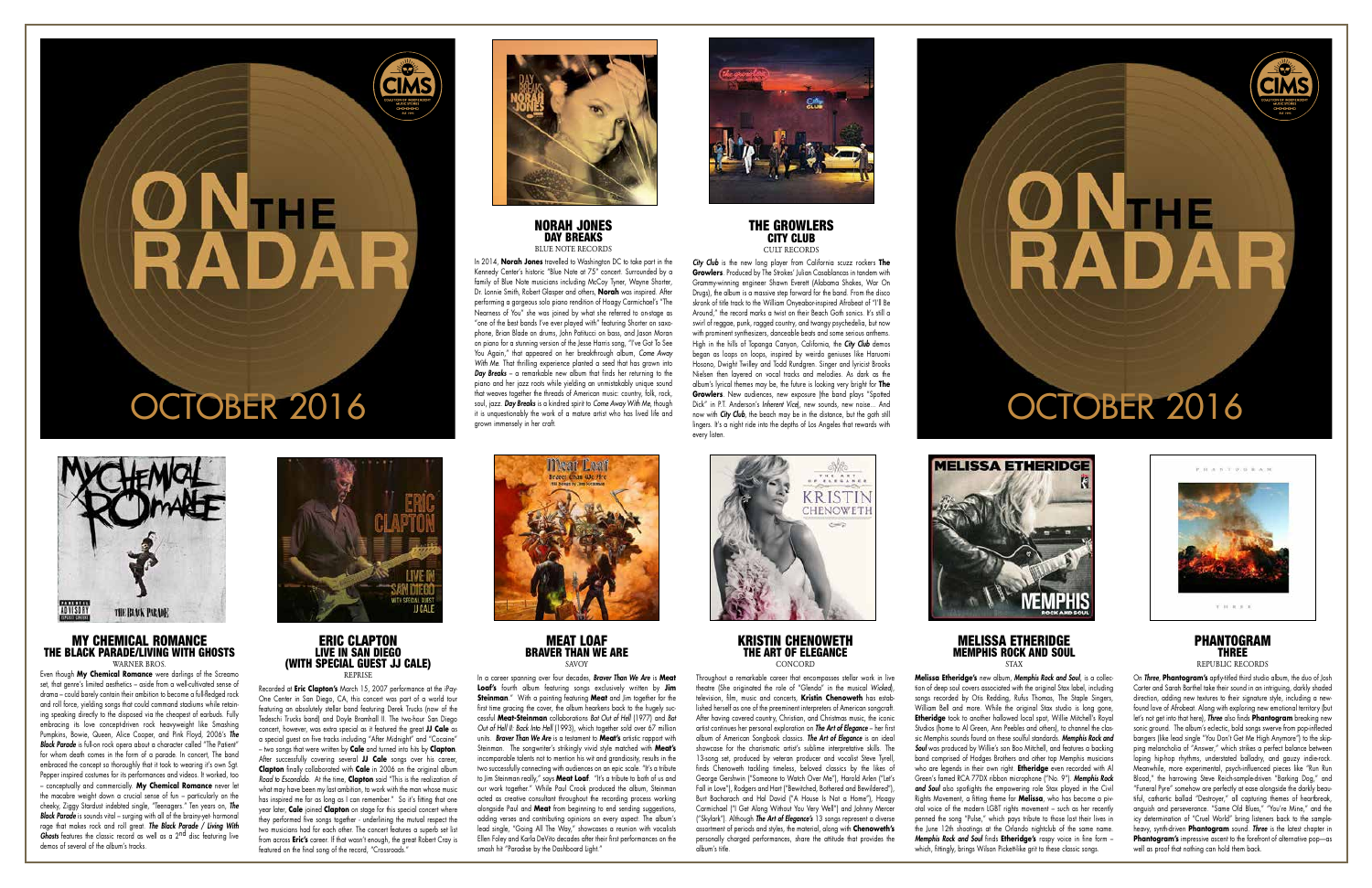# **ONTER**<br>RADAR

# OCTOBER 2016



### THE GROWLERS CITY CLUB CULT RECORDS

### MY CHEMICAL ROMANCE THE BLACK PARADE/LIVING WITH GHOSTS WARNER BROS

*City Club* is the new long player from California scuzz rockers **The Growlers**. Produced by The Strokes' Julian Casablancas in tandem with Grammy-winning engineer Shawn Everett (Alabama Shakes, War On Drugs), the album is a massive step forward for the band. From the disco skronk of title track to the William Onyeabor-inspired Afrobeat of "I'll Be Around," the record marks a twist on their Beach Goth sonics. It's still a swirl of reggae, punk, ragged country, and twangy psychedelia, but now with prominent synthesizers, danceable beats and some serious anthems. High in the hills of Topanga Canyon, California, the *City Club* demos began as loops on loops, inspired by weirdo geniuses like Haruomi Hosono, Dwight Twilley and Todd Rundgren. Singer and lyricist Brooks Nielsen then layered on vocal tracks and melodies. As dark as the album's lyrical themes may be, the future is looking very bright for **The Growlers**. New audiences, new exposure (the band plays "Spotted Dick" in P.T. Anderson's *Inherent Vice*), new sounds, new noise... And now with *City Club*, the beach may be in the distance, but the goth still lingers. It's a night ride into the depths of Los Angeles that rewards with every listen.



MEAT LOAF BRAVER THAN WE ARE SAVOY

Even though **My Chemical Romance** were darlings of the Screamo set, that genre's limited aesthetics – aside from a well-cultivated sense of drama – could barely contain their ambition to become a full-fledged rock and roll force, yielding songs that could command stadiums while retaining speaking directly to the disposed via the cheapest of earbuds. Fully embracing its love concept-driven rock heavyweight like Smashing Pumpkins, Bowie, Queen, Alice Cooper, and Pink Floyd, 2006's *The Black Parade* is full-on rock opera about a character called "The Patient" for whom death comes in the form of a parade. In concert, The band embraced the concept so thoroughly that it took to wearing it's own Sgt. Pepper inspired costumes for its performances and videos. It worked, too – conceptually and commercially. **My Chemical Romance** never let the macabre weight down a crucial sense of fun – particularly on the cheeky, Ziggy Stardust indebted single, "Teenagers." Ten years on, *The*  **Black Parade** is sounds vital – surging with all of the brainy-yet- hormonal rage that makes rock and roll great. *The Black Parade / Living With Ghosts* features the classic record as well as a 2<sup>nd</sup> disc featuring live demos of several of the album's tracks.



### KRISTIN CHENOWETH THE ART OF ELEGANCE **CONCORD**

### ERIC CLAPTON LIVE IN SAN DIEGO (WITH SPECIAL GUEST JJ CALE) REPRISE

### MELISSA ETHERIDGE MEMPHIS ROCK AND SOUL **STAY**



**Melissa Etheridge's** new album, *Memphis Rock and Soul*, is a collection of deep soul covers associated with the original Stax label, including songs recorded by Otis Redding, Rufus Thomas, The Staple Singers, William Bell and more. While the original Stax studio is long gone, **Etheridge** took to another hallowed local spot, Willie Mitchell's Royal Studios (home to Al Green, Ann Peebles and others), to channel the classic Memphis sounds found on these soulful standards. *Memphis Rock and*  **Soul** was produced by Willie's son Boo Mitchell, and features a backing band comprised of Hodges Brothers and other top Memphis musicians who are legends in their own right. **Etheridge** even recorded with Al Green's famed RCA 77DX ribbon microphone ("No. 9"). *Memphis Rock and Soul* also spotlights the empowering role Stax played in the Civil Rights Movement, a fitting theme for **Melissa**, who has become a pivotal voice of the modern LGBT rights movement – such as her recently penned the song "Pulse," which pays tribute to those lost their lives in the June 12th shootings at the Orlando nightclub of the same name. *Memphis Rock and Soul* finds **Etheridge's** raspy voice in fine form – which, fittingly, brings Wilson Pickett-like grit to these classic songs.

Recorded at **Eric Clapton's** March 15, 2007 performance at the iPay-One Center in San Diego, CA, this concert was part of a world tour featuring an absolutely stellar band featuring Derek Trucks (now of the Tedeschi Trucks band) and Doyle Bramhall II. The two-hour San Diego concert, however, was extra special as it featured the great **JJ Cale** as a special guest on five tracks including "After Midnight" and "Cocaine" – two songs that were written by **Cale** and turned into hits by **Clapton**. After successfully covering several **JJ Cale** songs over his career, **Clapton** finally collaborated with **Cale** in 2006 on the original album *Road to Escondido*. At the time, **Clapton** said "This is the realization of what may have been my last ambition, to work with the man whose music has inspired me for as long as I can remember." So it's fitting that one year later, **Cale** joined **Clapton** on stage for this special concert where they performed five songs together - underlining the mutual respect the two musicians had for each other. The concert features a superb set list from across **Eric's** career. If that wasn't enough, the great Robert Cray is featured on the final song of the record, "Crossroads."



In a career spanning over four decades, *Braver Than We Are* is **Meat Loaf's** fourth album featuring songs exclusively written by **Jim Steinman**." With a painting featuring **Meat** and Jim together for the first time gracing the cover, the album hearkens back to the hugely successful **Meat-Steinman** collaborations *Bat Out of Hell* (1977) and *Bat Out of Hell II: Back Into Hell* (1993), which together sold over 67 million units. *Braver Than We Are* is a testament to **Meat's** artistic rapport with Steinman. The songwriter's strikingly vivid style matched with **Meat's** incomparable talents not to mention his wit and grandiosity, results in the two successfully connecting with audiences on an epic scale. "It's a tribute to Jim Steinman really," says **Meat Loaf**. "It's a tribute to both of us and our work together." While Paul Crook produced the album, Steinman acted as creative consultant throughout the recording process working alongside Paul and **Meat** from beginning to end sending suggestions, adding verses and contributing opinions on every aspect. The album's lead single, "Going All The Way," showcases a reunion with vocalists Ellen Foley and Karla DeVito decades after their first performances on the smash hit "Paradise by the Dashboard Light."



Throughout a remarkable career that encompasses stellar work in live theatre (She originated the role of "Glenda" in the musical *Wicked*), television, film, music and concerts, **Kristin Chenoweth** has established herself as one of the preeminent interpreters of American songcraft. After having covered country, Christian, and Christmas music, the iconic artist continues her personal exploration on *The Art of Elegance* – her first album of American Songbook classics. *The Art of Elegance* is an ideal showcase for the charismatic artist's sublime interpretative skills. The 13-song set, produced by veteran producer and vocalist Steve Tyrell, finds Chenoweth tackling timeless, beloved classics by the likes of George Gershwin ("Someone to Watch Over Me"), Harold Arlen ("Let's Fall in Love"), Rodgers and Hart ("Bewitched, Bothered and Bewildered"), Burt Bacharach and Hal David ("A House Is Not a Home"), Hoagy Carmichael ("I Get Along Without You Very Well") and Johnny Mercer ("Skylark"). Although *The Art of Elegance's* 13 songs represent a diverse assortment of periods and styles, the material, along with **Chenoweth's** personally charged performances, share the attitude that provides the album's title.





On *Three*, **Phantogram's** aptly-titled third studio album, the duo of Josh Carter and Sarah Barthel take their sound in an intriguing, darkly shaded direction, adding new textures to their signature style, including a newfound love of Afrobeat. Along with exploring new emotional territory (but let's not get into that here), *Three* also finds **Phantogram** breaking new sonic ground. The album's eclectic, bold songs swerve from pop-inflected bangers (like lead single "You Don't Get Me High Anymore") to the skipping melancholia of "Answer," which strikes a perfect balance between loping hip-hop rhythms, understated balladry, and gauzy indie-rock. Meanwhile, more experimental, psych-influenced pieces like "Run Run Blood," the harrowing Steve Reich-sample-driven "Barking Dog," and "Funeral Pyre" somehow are perfectly at ease alongside the darkly beautiful, cathartic ballad "Destroyer," all capturing themes of heartbreak, anguish and perseverance. "Same Old Blues," "You're Mine," and the icy determination of "Cruel World" bring listeners back to the sampleheavy, synth-driven **Phantogram** sound. *Three* is the latest chapter in **Phantogram's** impressive ascent to the forefront of alternative pop-as well as proof that nothing can hold them back.

### NORAH JONES DAY BREAKS BLUE NOTE RECORDS

In 2014, **Norah Jones** travelled to Washington DC to take part in the Kennedy Center's historic "Blue Note at 75" concert. Surrounded by a family of Blue Note musicians including McCoy Tyner, Wayne Shorter, Dr. Lonnie Smith, Robert Glasper and others, **Norah** was inspired. After performing a gorgeous solo piano rendition of Hoagy Carmichael's "The Nearness of You" she was joined by what she referred to on-stage as "one of the best bands I've ever played with" featuring Shorter on saxophone, Brian Blade on drums, John Patitucci on bass, and Jason Moran on piano for a stunning version of the Jesse Harris song, "I've Got To See You Again," that appeared on her breakthrough album, *Come Away With Me*. That thrilling experience planted a seed that has grown into *Day Breaks* – a remarkable new album that finds her returning to the piano and her jazz roots while yielding an unmistakably unique sound that weaves together the threads of American music: country, folk, rock, soul, jazz. *Day Breaks* is a kindred spirit to *Come Away With Me*, though grown immensely in her craft.



# OCTOBER 2016

**ONTER**<br>RADAR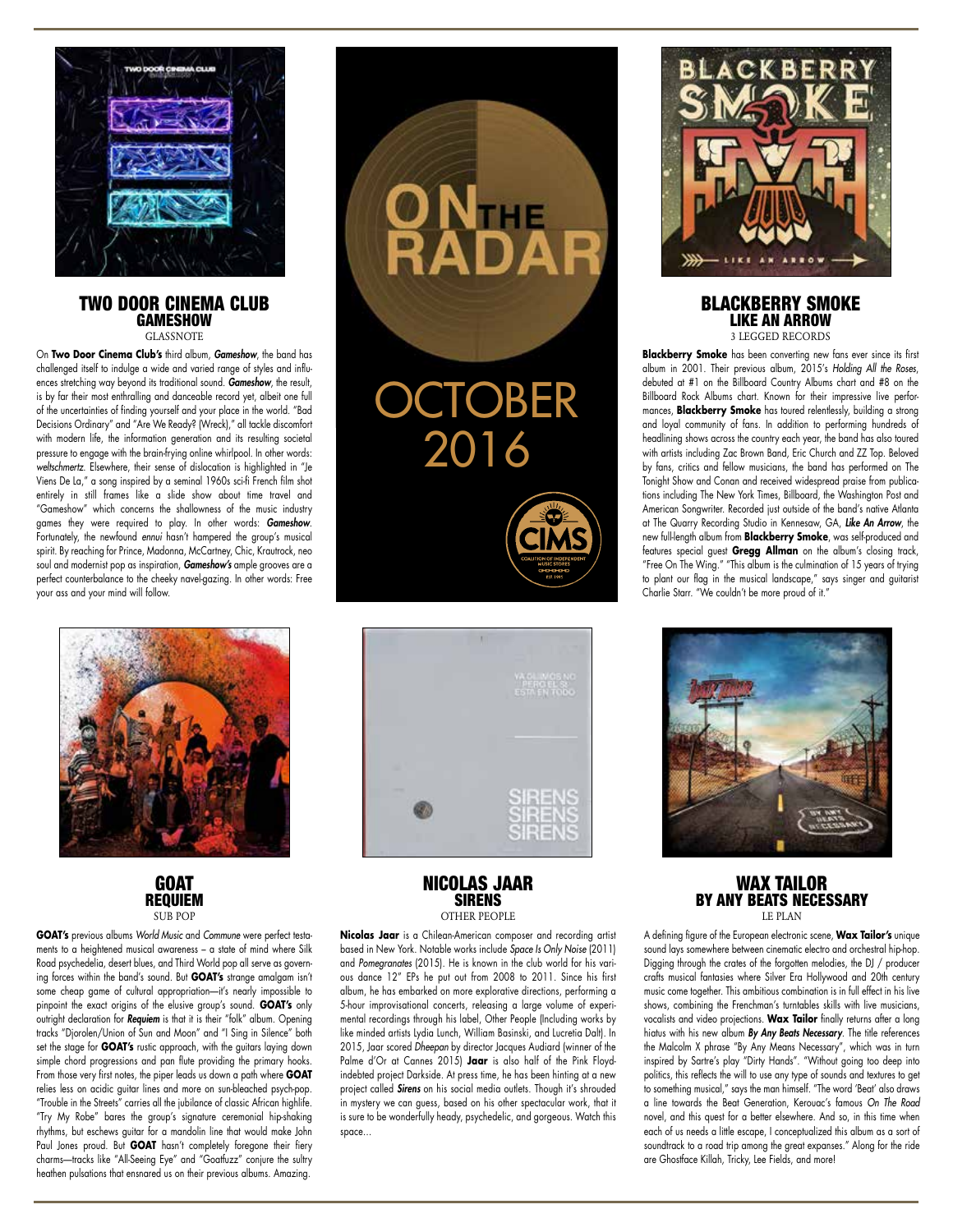

### TWO DOOR CINEMA CLUB **GAMESHOW** GLASSNOTE

On **Two Door Cinema Club's** third album, *Gameshow*, the band has challenged itself to indulge a wide and varied range of styles and influences stretching way beyond its traditional sound. *Gameshow*, the result, is by far their most enthralling and danceable record yet, albeit one full of the uncertainties of finding yourself and your place in the world. "Bad Decisions Ordinary" and "Are We Ready? (Wreck)," all tackle discomfort with modern life, the information generation and its resulting societal pressure to engage with the brain-frying online whirlpool. In other words: *weltschmertz*. Elsewhere, their sense of dislocation is highlighted in "Je Viens De La," a song inspired by a seminal 1960s sci-fi French film shot entirely in still frames like a slide show about time travel and "Gameshow" which concerns the shallowness of the music industry games they were required to play. In other words: *Gameshow*. Fortunately, the newfound *ennui* hasn't hampered the group's musical spirit. By reaching for Prince, Madonna, McCartney, Chic, Krautrock, neo soul and modernist pop as inspiration, *Gameshow's* ample grooves are a perfect counterbalance to the cheeky navel-gazing. In other words: Free your ass and your mind will follow.





**GOAT's** previous albums *World Music* and *Commune* were perfect testaments to a heightened musical awareness – a state of mind where Silk Road psychedelia, desert blues, and Third World pop all serve as governing forces within the band's sound. But **GOAT's** strange amalgam isn't some cheap game of cultural appropriation—it's nearly impossible to pinpoint the exact origins of the elusive group's sound. **GOAT's** only outright declaration for *Requiem* is that it is their "folk" album. Opening tracks "Djorolen/Union of Sun and Moon" and "I Sing in Silence" both set the stage for **GOAT's** rustic approach, with the guitars laying down simple chord progressions and pan flute providing the primary hooks. From those very first notes, the piper leads us down a path where **GOAT** relies less on acidic guitar lines and more on sun-bleached psych-pop. "Trouble in the Streets" carries all the jubilance of classic African highlife. "Try My Robe" bares the group's signature ceremonial hip-shaking rhythms, but eschews guitar for a mandolin line that would make John Paul Jones proud. But **GOAT** hasn't completely foregone their fiery charms—tracks like "All-Seeing Eye" and "Goatfuzz" conjure the sultry heathen pulsations that ensnared us on their previous albums. Amazing.





NICOLAS JAAR SIRENS OTHER PEOPLE

**Nicolas Jaar** is a Chilean-American composer and recording artist based in New York. Notable works include *Space Is Only Noise* (2011) and *Pomegranates* (2015). He is known in the club world for his various dance 12" EPs he put out from 2008 to 2011. Since his first album, he has embarked on more explorative directions, performing a 5-hour improvisational concerts, releasing a large volume of experimental recordings through his label, Other People (Including works by like minded artists Lydia Lunch, William Basinski, and Lucretia Dalt). In 2015, Jaar scored *Dheepan* by director Jacques Audiard (winner of the Palme d'Or at Cannes 2015) **Jaar** is also half of the Pink Floydindebted project Darkside. At press time, he has been hinting at a new project called *Sirens* on his social media outlets. Though it's shrouded in mystery we can guess, based on his other spectacular work, that it is sure to be wonderfully heady, psychedelic, and gorgeous. Watch this space…



### BLACKBERRY SMOKE LIKE AN ARROW 3 LEGGED RECORDS

**Blackberry Smoke** has been converting new fans ever since its first album in 2001. Their previous album, 2015's *Holding All the Roses*, debuted at #1 on the Billboard Country Albums chart and #8 on the Billboard Rock Albums chart. Known for their impressive live performances, **Blackberry Smoke** has toured relentlessly, building a strong and loyal community of fans. In addition to performing hundreds of headlining shows across the country each year, the band has also toured with artists including Zac Brown Band, Eric Church and ZZ Top. Beloved by fans, critics and fellow musicians, the band has performed on The Tonight Show and Conan and received widespread praise from publications including The New York Times, Billboard, the Washington Post and American Songwriter. Recorded just outside of the band's native Atlanta at The Quarry Recording Studio in Kennesaw, GA, *Like An Arrow*, the new full-length album from **Blackberry Smoke**, was self-produced and features special guest **Gregg Allman** on the album's closing track, "Free On The Wing." "This album is the culmination of 15 years of trying to plant our flag in the musical landscape," says singer and guitarist Charlie Starr. "We couldn't be more proud of it."



### WAX TAILOR BY ANY BEATS NECESSARY LE PLAN

A defining figure of the European electronic scene, **Wax Tailor's** unique sound lays somewhere between cinematic electro and orchestral hip-hop. Digging through the crates of the forgotten melodies, the DJ / producer crafts musical fantasies where Silver Era Hollywood and 20th century music come together. This ambitious combination is in full effect in his live shows, combining the Frenchman's turntables skills with live musicians, vocalists and video projections. **Wax Tailor** finally returns after a long hiatus with his new album *By Any Beats Necessary*. The title references the Malcolm X phrase "By Any Means Necessary", which was in turn inspired by Sartre's play "Dirty Hands". "Without going too deep into politics, this reflects the will to use any type of sounds and textures to get to something musical," says the man himself. "The word 'Beat' also draws a line towards the Beat Generation, Kerouac's famous *On The Road* novel, and this quest for a better elsewhere. And so, in this time when each of us needs a little escape, I conceptualized this album as a sort of soundtrack to a road trip among the great expanses." Along for the ride are Ghostface Killah, Tricky, Lee Fields, and more!